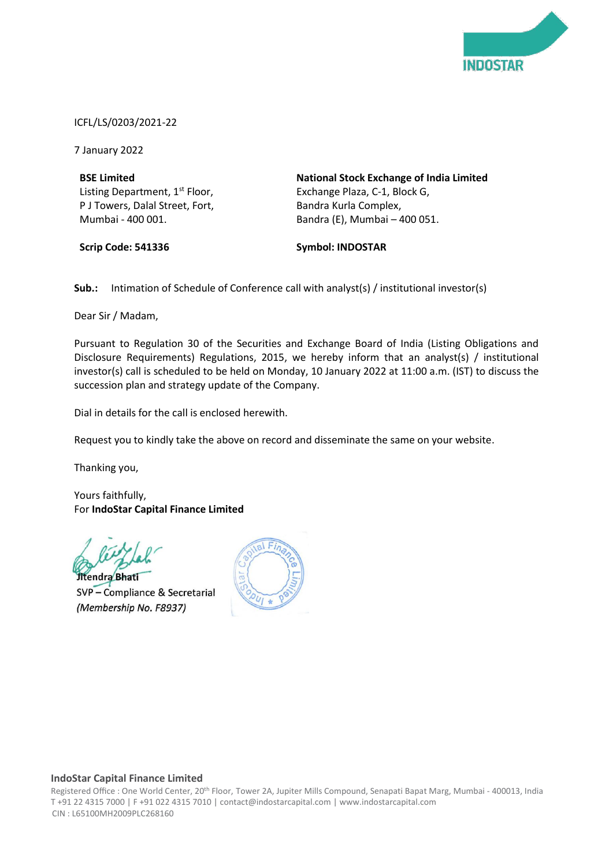

ICFL/LS/0203/2021-22

7 January 2022

**BSE Limited** Listing Department, 1<sup>st</sup> Floor, P J Towers, Dalal Street, Fort, Mumbai - 400 001.

**Scrip Code: 541336**

**National Stock Exchange of India Limited** Exchange Plaza, C-1, Block G, Bandra Kurla Complex, Bandra (E), Mumbai – 400 051.

**Symbol: INDOSTAR**

**Sub.:** Intimation of Schedule of Conference call with analyst(s) / institutional investor(s)

Dear Sir / Madam,

Pursuant to Regulation 30 of the Securities and Exchange Board of India (Listing Obligations and Disclosure Requirements) Regulations, 2015, we hereby inform that an analyst(s) / institutional investor(s) call is scheduled to be held on Monday, 10 January 2022 at 11:00 a.m. (IST) to discuss the succession plan and strategy update of the Company.

Dial in details for the call is enclosed herewith.

Request you to kindly take the above on record and disseminate the same on your website.

Thanking you,

Yours faithfully, For **IndoStar Capital Finance Limited**

endra Bhati

SVP - Compliance & Secretarial (Membership No. F8937)



## **IndoStar Capital Finance Limited**